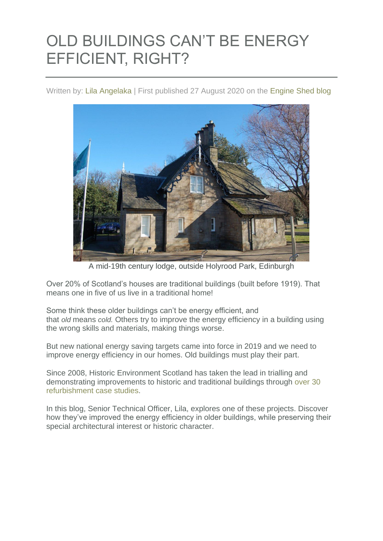## OLD BUILDINGS CAN'T BE ENERGY EFFICIENT, RIGHT?

Written by: Lila [Angelaka](https://blog.engineshed.scot/author/lila_a/) | First published 27 August 2020 on the [Engine Shed blog](https://blog.engineshed.scot/2020/08/27/energy-efficiency-old-buildings/)



A mid-19th century lodge, outside Holyrood Park, Edinburgh

Over 20% of Scotland's houses are traditional buildings (built before 1919). That means one in five of us live in a traditional home!

Some think these older buildings can't be energy efficient, and that *old* means *cold.* Others try to improve the energy efficiency in a building using the wrong skills and materials, making things worse.

But new national energy saving targets came into force in 2019 and we need to improve energy efficiency in our homes. Old buildings must play their part.

Since 2008, Historic Environment Scotland has taken the lead in trialling and demonstrating improvements to historic and traditional buildings through [over](https://engineshed.scot/publications/?q=refurbishment+case+study) 30 [refurbishment](https://engineshed.scot/publications/?q=refurbishment+case+study) case studies.

In this blog, Senior Technical Officer, Lila, explores one of these projects. Discover how they've improved the energy efficiency in older buildings, while preserving their special architectural interest or historic character.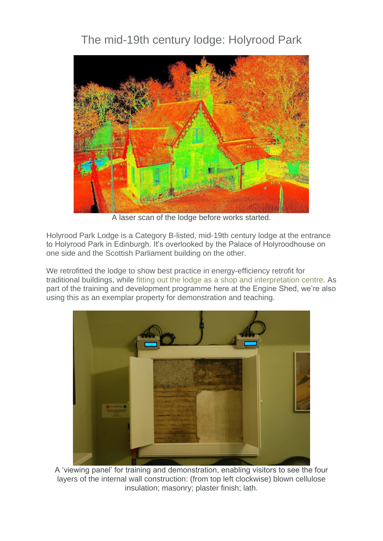## The mid-19th century lodge: Holyrood Park



A laser scan of the lodge before works started.

Holyrood Park Lodge is a Category B-listed, mid-19th century lodge at the entrance to Holyrood Park in Edinburgh. It's overlooked by the Palace of Holyroodhouse on one side and the Scottish Parliament building on the other.

We retrofitted the lodge to show best practice in energy-efficiency retrofit for traditional buildings, while fitting out the lodge as a shop and [interpretation](https://blog.historicenvironment.scot/2018/07/welcome-holyrood-lodge/) centre. As part of the training and development programme here at the Engine Shed, we're also using this as an exemplar property for demonstration and teaching.



A 'viewing panel' for training and demonstration, enabling visitors to see the four layers of the internal wall construction: (from top left clockwise) blown cellulose insulation; masonry; plaster finish; lath.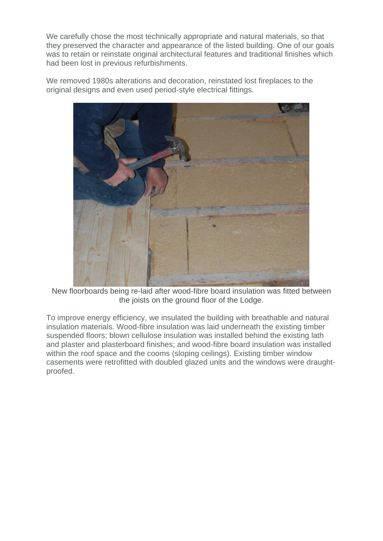We carefully chose the most technically appropriate and natural materials, so that they preserved the character and appearance of the listed building. One of our goals was to retain or reinstate original architectural features and traditional finishes which had been lost in previous refurbishments.

We removed 1980s alterations and decoration, reinstated lost fireplaces to the original designs and even used period-style electrical fittings.



New floorboards being re-laid after wood-fibre board insulation was fitted between the joists on the ground floor of the Lodge.

To improve energy efficiency, we insulated the building with breathable and natural insulation materials. Wood-fibre insulation was laid underneath the existing timber suspended floors; blown cellulose insulation was installed behind the existing lath and plaster and plasterboard finishes; and wood-fibre board insulation was installed within the roof space and the cooms (sloping ceilings). Existing timber window casements were retrofitted with doubled glazed units and the windows were draughtproofed.